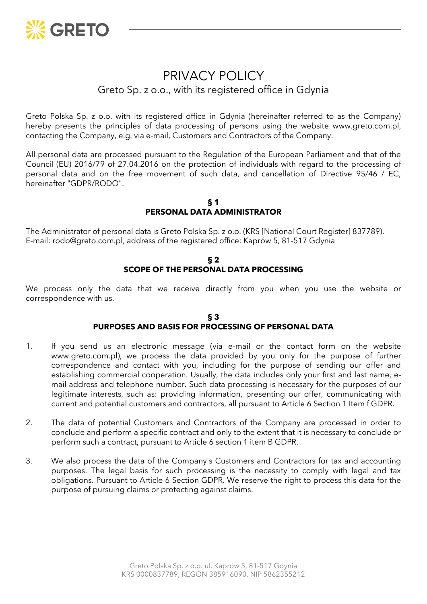

# PRIVACY POLICY

# Greto Sp. z o.o., with its registered office in Gdynia

Greto Polska Sp. z o.o. with its registered office in Gdynia (hereinafter referred to as the Company) hereby presents the principles of data processing of persons using the website www.greto.com.pl, contacting the Company, e.g. via e-mail, Customers and Contractors of the Company.

All personal data are processed pursuant to the Regulation of the European Parliament and that of the Council (EU) 2016/79 of 27.04.2016 on the protection of individuals with regard to the processing of personal data and on the free movement of such data, and cancellation of Directive 95/46 / EC, hereinafter "GDPR/RODO".

**§ 1 PERSONAL DATA ADMINISTRATOR**

The Administrator of personal data is Greto Polska Sp. z o.o. (KRS [National Court Register] 837789). E-mail: rodo@greto.com.pl, address of the registered office: Kaprów 5, 81-517 Gdynia

#### **§ 2 SCOPE OF THE PERSONAL DATA PROCESSING**

We process only the data that we receive directly from you when you use the website or correspondence with us.

#### **§ 3 PURPOSES AND BASIS FOR PROCESSING OF PERSONAL DATA**

- 1. If you send us an electronic message (via e-mail or the contact form on the website www.greto.com.pl), we process the data provided by you only for the purpose of further correspondence and contact with you, including for the purpose of sending our offer and establishing commercial cooperation. Usually, the data includes only your first and last name, email address and telephone number. Such data processing is necessary for the purposes of our legitimate interests, such as: providing information, presenting our offer, communicating with current and potential customers and contractors, all pursuant to Article 6 Section 1 Item f GDPR.
- 2. The data of potential Customers and Contractors of the Company are processed in order to conclude and perform a specific contract and only to the extent that it is necessary to conclude or perform such a contract, pursuant to Article 6 section 1 item B GDPR.
- 3. We also process the data of the Company's Customers and Contractors for tax and accounting purposes. The legal basis for such processing is the necessity to comply with legal and tax obligations. Pursuant to Article 6 Section GDPR. We reserve the right to process this data for the purpose of pursuing claims or protecting against claims.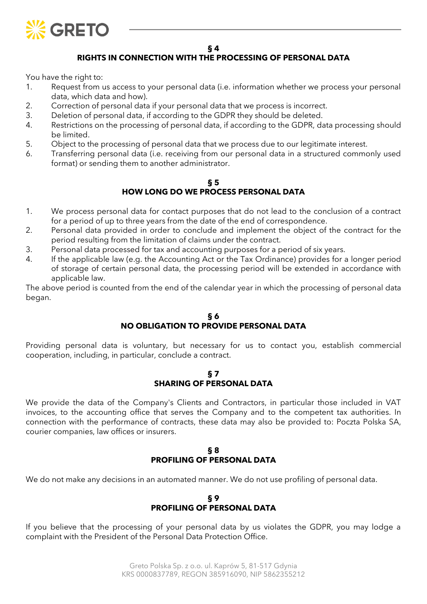

**§ 4**

## **RIGHTS IN CONNECTION WITH THE PROCESSING OF PERSONAL DATA**

You have the right to:

- 1. Request from us access to your personal data (i.e. information whether we process your personal data, which data and how).
- 2. Correction of personal data if your personal data that we process is incorrect.
- 3. Deletion of personal data, if according to the GDPR they should be deleted.
- 4. Restrictions on the processing of personal data, if according to the GDPR, data processing should be limited.
- 5. Object to the processing of personal data that we process due to our legitimate interest.
- 6. Transferring personal data (i.e. receiving from our personal data in a structured commonly used format) or sending them to another administrator.

#### **§ 5 HOW LONG DO WE PROCESS PERSONAL DATA**

- 1. We process personal data for contact purposes that do not lead to the conclusion of a contract for a period of up to three years from the date of the end of correspondence.
- 2. Personal data provided in order to conclude and implement the object of the contract for the period resulting from the limitation of claims under the contract.
- 3. Personal data processed for tax and accounting purposes for a period of six years.
- 4. If the applicable law (e.g. the Accounting Act or the Tax Ordinance) provides for a longer period of storage of certain personal data, the processing period will be extended in accordance with applicable law.

The above period is counted from the end of the calendar year in which the processing of personal data began.

#### **§ 6 NO OBLIGATION TO PROVIDE PERSONAL DATA**

Providing personal data is voluntary, but necessary for us to contact you, establish commercial cooperation, including, in particular, conclude a contract.

#### **§ 7 SHARING OF PERSONAL DATA**

We provide the data of the Company's Clients and Contractors, in particular those included in VAT invoices, to the accounting office that serves the Company and to the competent tax authorities. In connection with the performance of contracts, these data may also be provided to: Poczta Polska SA, courier companies, law offices or insurers.

### **§ 8 PROFILING OF PERSONAL DATA**

We do not make any decisions in an automated manner. We do not use profiling of personal data.

#### **§ 9 PROFILING OF PERSONAL DATA**

If you believe that the processing of your personal data by us violates the GDPR, you may lodge a complaint with the President of the Personal Data Protection Office.